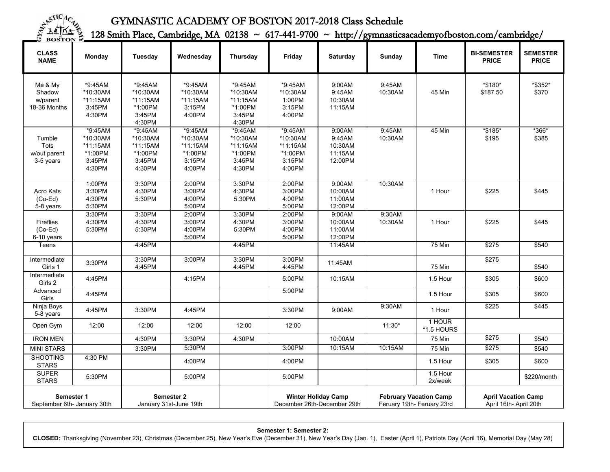

## GYMNASTIC ACADEMY OF BOSTON 2017-2018 Class Schedule

128 Smith Place, Cambridge, MA 02138 ~ 617-441-9700 ~ http://gymnasticsacademyofboston.com/cambridge/

| <b>CLASS</b><br><b>NAME</b>                   | Monday                                                         | Tuesday                                                          | Wednesday                                                      | Thursday                                                       | Friday                                                         | Saturday                                          | <b>Sunday</b>                                               | Time                 | <b>BI-SEMESTER</b><br><b>PRICE</b>                   | <b>SEMESTER</b><br><b>PRICE</b> |
|-----------------------------------------------|----------------------------------------------------------------|------------------------------------------------------------------|----------------------------------------------------------------|----------------------------------------------------------------|----------------------------------------------------------------|---------------------------------------------------|-------------------------------------------------------------|----------------------|------------------------------------------------------|---------------------------------|
| Me & My<br>Shadow<br>w/parent<br>18-36 Months | *9:45AM<br>*10:30AM<br>*11:15AM<br>3:45PM<br>4:30PM            | *9:45AM<br>*10:30AM<br>*11:15AM<br>*1:00PM<br>3:45PM<br>4:30PM   | *9:45AM<br>*10:30AM<br>*11:15AM<br>3:15PM<br>4:00PM            | *9:45AM<br>*10:30AM<br>*11:15AM<br>*1:00PM<br>3:45PM<br>4:30PM | *9:45AM<br>*10:30AM<br>1:00PM<br>3:15PM<br>4:00PM              | 9:00AM<br>9:45AM<br>10:30AM<br>11:15AM            | 9:45AM<br>10:30AM                                           | 45 Min               | *\$180*<br>\$187.50                                  | *\$352*<br>\$370                |
| Tumble<br>Tots<br>w/out parent<br>3-5 years   | *9:45AM<br>*10:30AM<br>*11:15AM<br>*1:00PM<br>3:45PM<br>4:30PM | $*9:45AM$<br>*10:30AM<br>*11:15AM<br>*1:00PM<br>3:45PM<br>4:30PM | *9:45AM<br>*10:30AM<br>*11:15AM<br>*1:00PM<br>3:15PM<br>4:00PM | *9:45AM<br>*10:30AM<br>*11:15AM<br>*1:00PM<br>3:45PM<br>4:30PM | *9:45AM<br>*10:30AM<br>*11:15AM<br>*1:00PM<br>3:15PM<br>4:00PM | 9:00AM<br>9:45AM<br>10:30AM<br>11:15AM<br>12:00PM | 9:45AM<br>10:30AM                                           | <b>45 Min</b>        | *\$185*<br>\$195                                     | $*366*$<br>\$385                |
| Acro Kats<br>$(Co-Ed)$<br>5-8 years           | 1:00PM<br>3:30PM<br>4:30PM<br>5:30PM                           | 3:30PM<br>4:30PM<br>5:30PM                                       | 2:00PM<br>3:00PM<br>4:00PM<br>5:00PM                           | 3:30PM<br>4:30PM<br>5:30PM                                     | 2:00PM<br>3:00PM<br>4:00PM<br>5:00PM                           | 9:00AM<br>10:00AM<br>11:00AM<br>12:00PM           | 10:30AM                                                     | 1 Hour               | \$225                                                | \$445                           |
| <b>Fireflies</b><br>$(Co-Ed)$<br>6-10 years   | 3:30PM<br>4:30PM<br>5:30PM                                     | 3:30PM<br>4:30PM<br>5:30PM                                       | 2:00PM<br>3:00PM<br>4:00PM<br>5:00PM                           | 3:30PM<br>4:30PM<br>5:30PM                                     | 2:00PM<br>3:00PM<br>4:00PM<br>5:00PM                           | 9:00AM<br>10:00AM<br>11:00AM<br>12:00PM           | 9:30AM<br>10:30AM                                           | 1 Hour               | \$225                                                | \$445                           |
| Teens                                         |                                                                | 4:45PM                                                           |                                                                | 4:45PM                                                         |                                                                | 11:45AM                                           |                                                             | 75 Min               | \$275                                                | \$540                           |
| Intermediate<br>Girls 1                       | 3:30PM                                                         | 3:30PM<br>4:45PM                                                 | 3:00PM                                                         | 3:30PM<br>4:45PM                                               | 3:00PM<br>4:45PM                                               | 11:45AM                                           |                                                             | <b>75 Min</b>        | \$275                                                | \$540                           |
| Intermediate<br>Girls 2                       | 4:45PM                                                         |                                                                  | 4:15PM                                                         |                                                                | 5:00PM                                                         | 10:15AM                                           |                                                             | 1.5 Hour             | \$305                                                | \$600                           |
| Advanced<br>Girls                             | 4:45PM                                                         |                                                                  |                                                                |                                                                | 5:00PM                                                         |                                                   |                                                             | 1.5 Hour             | \$305                                                | \$600                           |
| Ninja Boys<br>5-8 years                       | 4:45PM                                                         | 3:30PM                                                           | 4:45PM                                                         |                                                                | 3:30PM                                                         | 9:00AM                                            | 9:30AM                                                      | 1 Hour               | \$225                                                | \$445                           |
| Open Gym                                      | 12:00                                                          | 12:00                                                            | 12:00                                                          | 12:00                                                          | 12:00                                                          |                                                   | $11:30*$                                                    | 1 HOUR<br>*1.5 HOURS |                                                      |                                 |
| <b>IRON MEN</b>                               |                                                                | 4:30PM                                                           | 3:30PM                                                         | 4:30PM                                                         |                                                                | 10:00AM                                           |                                                             | 75 Min               | \$275                                                | \$540                           |
| <b>MINI STARS</b>                             |                                                                | 3:30PM                                                           | 5:30PM                                                         |                                                                | 3:00PM                                                         | 10:15AM                                           | 10:15AM                                                     | <b>75 Min</b>        | \$275                                                | \$540                           |
| <b>SHOOTING</b><br><b>STARS</b>               | 4:30 PM                                                        |                                                                  | 4:00PM                                                         |                                                                | 4:00PM                                                         |                                                   |                                                             | 1.5 Hour             | \$305                                                | \$600                           |
| <b>SUPER</b><br><b>STARS</b>                  | 5:30PM                                                         |                                                                  | 5:00PM                                                         |                                                                | 5:00PM                                                         |                                                   |                                                             | 1.5 Hour<br>2x/week  |                                                      | \$220/month                     |
| Semester 1<br>September 6th- January 30th     |                                                                | Semester 2<br>January 31st-June 19th                             |                                                                |                                                                | <b>Winter Holiday Camp</b><br>December 26th-December 29th      |                                                   | <b>February Vacation Camp</b><br>Feruary 19th- Feruary 23rd |                      | <b>April Vacation Camp</b><br>April 16th- April 20th |                                 |

**Semester 1: Semester 2:**

**CLOSED:** Thanksgiving (November 23), Christmas (December 25), New Year's Eve (December 31), New Year's Day (Jan. 1), Easter (April 1), Patriots Day (April 16), Memorial Day (May 28)